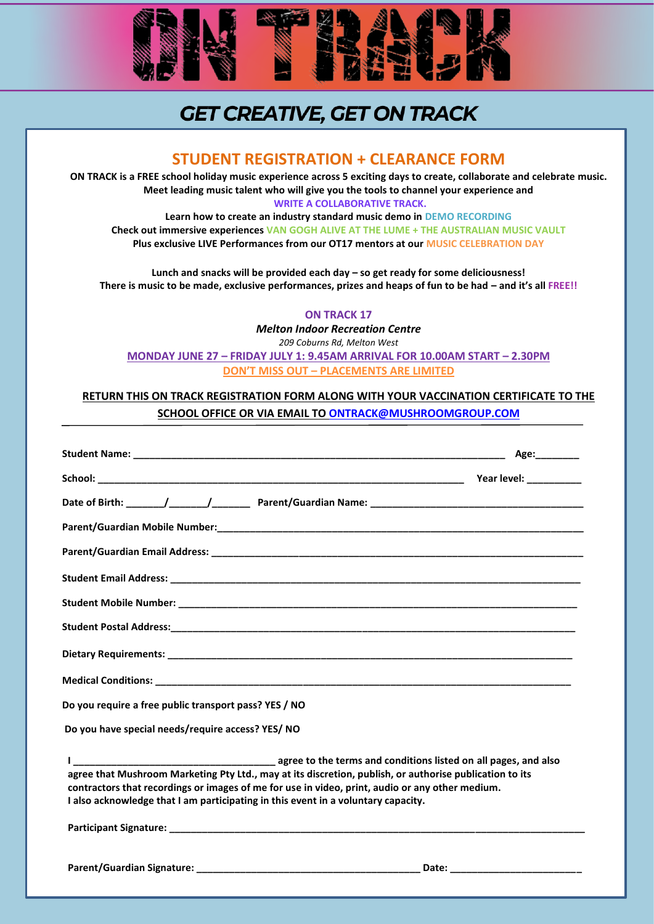

# **GET CREATIVE, GET ON TRACK**

## **STUDENT REGISTRATION + CLEARANCE FORM**

**ON TRACK is a FREE school holiday music experience across 5 exciting days to create, collaborate and celebrate music. Meet leading music talent who will give you the tools to channel your experience and WRITE A COLLABORATIVE TRACK.**

**Learn how to create an industry standard music demo in DEMO RECORDING Check out immersive experiences VAN GOGH ALIVE AT THE LUME + THE AUSTRALIAN MUSIC VAULT Plus exclusive LIVE Performances from our OT17 mentors at our MUSIC CELEBRATION DAY**

**Lunch and snacks will be provided each day – so get ready for some deliciousness! There is music to be made, exclusive performances, prizes and heaps of fun to be had – and it's all FREE!!**

### **ON TRACK 17**

*Melton Indoor Recreation Centre*

*209 Coburns Rd, Melton West* **MONDAY JUNE 27 – FRIDAY JULY 1: 9.45AM ARRIVAL FOR 10.00AM START – 2.30PM DON'T MISS OUT – PLACEMENTS ARE LIMITED**

### **RETURN THIS ON TRACK REGISTRATION FORM ALONG WITH YOUR VACCINATION CERTIFICATE TO THE SCHOOL OFFICE OR VIA EMAIL TO [ONTRACK@MUSHROOMGROUP.COM](mailto:ONTRACK@MUSHROOMGROUP.COM)**

|                                                                                                                                                                                                                                                                                                 | Age:_________ |
|-------------------------------------------------------------------------------------------------------------------------------------------------------------------------------------------------------------------------------------------------------------------------------------------------|---------------|
|                                                                                                                                                                                                                                                                                                 |               |
|                                                                                                                                                                                                                                                                                                 |               |
|                                                                                                                                                                                                                                                                                                 |               |
|                                                                                                                                                                                                                                                                                                 |               |
|                                                                                                                                                                                                                                                                                                 |               |
|                                                                                                                                                                                                                                                                                                 |               |
|                                                                                                                                                                                                                                                                                                 |               |
|                                                                                                                                                                                                                                                                                                 |               |
|                                                                                                                                                                                                                                                                                                 |               |
| Do you require a free public transport pass? YES / NO                                                                                                                                                                                                                                           |               |
| Do you have special needs/require access? YES/ NO                                                                                                                                                                                                                                               |               |
| agree that Mushroom Marketing Pty Ltd., may at its discretion, publish, or authorise publication to its<br>contractors that recordings or images of me for use in video, print, audio or any other medium.<br>I also acknowledge that I am participating in this event in a voluntary capacity. |               |
|                                                                                                                                                                                                                                                                                                 |               |
|                                                                                                                                                                                                                                                                                                 |               |

1